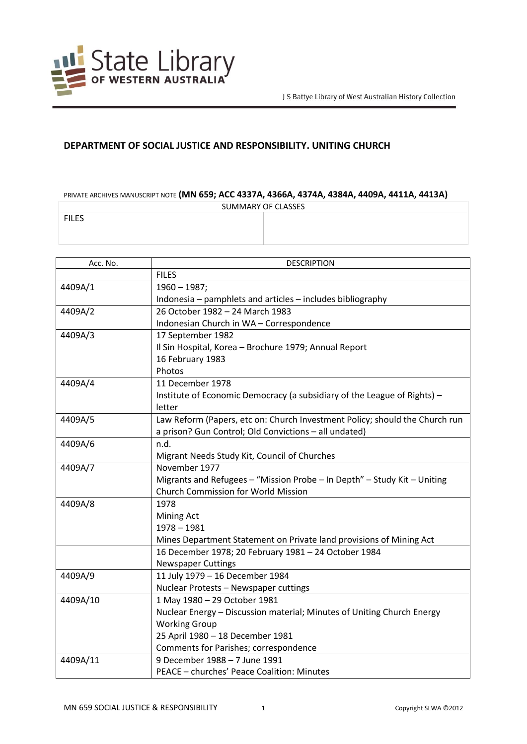

## **DEPARTMENT OF SOCIAL JUSTICE AND RESPONSIBILITY. UNITING CHURCH**

## PRIVATE ARCHIVES MANUSCRIPT NOTE **(MN 659; ACC 4337A, 4366A, 4374A, 4384A, 4409A, 4411A, 4413A)**

| SUMMARY OF CLASSES |  |
|--------------------|--|
| <b>FILES</b>       |  |
|                    |  |
|                    |  |

| Acc. No. | <b>DESCRIPTION</b>                                                          |
|----------|-----------------------------------------------------------------------------|
|          | <b>FILES</b>                                                                |
| 4409A/1  | $1960 - 1987;$                                                              |
|          | Indonesia - pamphlets and articles - includes bibliography                  |
| 4409A/2  | 26 October 1982 - 24 March 1983                                             |
|          | Indonesian Church in WA - Correspondence                                    |
| 4409A/3  | 17 September 1982                                                           |
|          | Il Sin Hospital, Korea - Brochure 1979; Annual Report                       |
|          | 16 February 1983                                                            |
|          | Photos                                                                      |
| 4409A/4  | 11 December 1978                                                            |
|          | Institute of Economic Democracy (a subsidiary of the League of Rights) -    |
|          | letter                                                                      |
| 4409A/5  | Law Reform (Papers, etc on: Church Investment Policy; should the Church run |
|          | a prison? Gun Control; Old Convictions - all undated)                       |
| 4409A/6  | n.d.                                                                        |
|          | Migrant Needs Study Kit, Council of Churches                                |
| 4409A/7  | November 1977                                                               |
|          | Migrants and Refugees - "Mission Probe - In Depth" - Study Kit - Uniting    |
|          | <b>Church Commission for World Mission</b>                                  |
| 4409A/8  | 1978                                                                        |
|          | Mining Act                                                                  |
|          | $1978 - 1981$                                                               |
|          | Mines Department Statement on Private land provisions of Mining Act         |
|          | 16 December 1978; 20 February 1981 - 24 October 1984                        |
|          | <b>Newspaper Cuttings</b>                                                   |
| 4409A/9  | 11 July 1979 - 16 December 1984                                             |
|          | Nuclear Protests - Newspaper cuttings                                       |
| 4409A/10 | 1 May 1980 - 29 October 1981                                                |
|          | Nuclear Energy - Discussion material; Minutes of Uniting Church Energy      |
|          | <b>Working Group</b>                                                        |
|          | 25 April 1980 - 18 December 1981                                            |
|          | Comments for Parishes; correspondence                                       |
| 4409A/11 | 9 December 1988 - 7 June 1991                                               |
|          | PEACE - churches' Peace Coalition: Minutes                                  |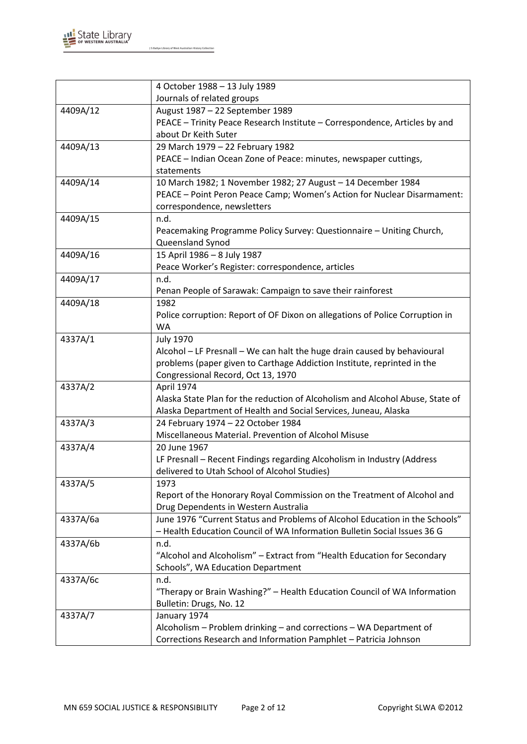

|          | 4 October 1988 - 13 July 1989                                                 |
|----------|-------------------------------------------------------------------------------|
|          | Journals of related groups                                                    |
| 4409A/12 | August 1987 - 22 September 1989                                               |
|          | PEACE - Trinity Peace Research Institute - Correspondence, Articles by and    |
|          | about Dr Keith Suter                                                          |
| 4409A/13 | 29 March 1979 - 22 February 1982                                              |
|          | PEACE - Indian Ocean Zone of Peace: minutes, newspaper cuttings,              |
|          | statements                                                                    |
| 4409A/14 | 10 March 1982; 1 November 1982; 27 August - 14 December 1984                  |
|          | PEACE - Point Peron Peace Camp; Women's Action for Nuclear Disarmament:       |
|          | correspondence, newsletters                                                   |
| 4409A/15 | n.d.                                                                          |
|          | Peacemaking Programme Policy Survey: Questionnaire - Uniting Church,          |
|          | Queensland Synod                                                              |
| 4409A/16 | 15 April 1986 - 8 July 1987                                                   |
|          | Peace Worker's Register: correspondence, articles                             |
| 4409A/17 | n.d.                                                                          |
|          | Penan People of Sarawak: Campaign to save their rainforest                    |
| 4409A/18 | 1982                                                                          |
|          | Police corruption: Report of OF Dixon on allegations of Police Corruption in  |
|          | <b>WA</b>                                                                     |
| 4337A/1  | <b>July 1970</b>                                                              |
|          | Alcohol - LF Presnall - We can halt the huge drain caused by behavioural      |
|          | problems (paper given to Carthage Addiction Institute, reprinted in the       |
|          | Congressional Record, Oct 13, 1970                                            |
| 4337A/2  | April 1974                                                                    |
|          | Alaska State Plan for the reduction of Alcoholism and Alcohol Abuse, State of |
|          | Alaska Department of Health and Social Services, Juneau, Alaska               |
| 4337A/3  | 24 February 1974 - 22 October 1984                                            |
|          | Miscellaneous Material. Prevention of Alcohol Misuse                          |
| 4337A/4  | 20 June 1967                                                                  |
|          | LF Presnall - Recent Findings regarding Alcoholism in Industry (Address       |
|          | delivered to Utah School of Alcohol Studies)                                  |
| 4337A/5  | 1973                                                                          |
|          | Report of the Honorary Royal Commission on the Treatment of Alcohol and       |
|          | Drug Dependents in Western Australia                                          |
| 4337A/6a | June 1976 "Current Status and Problems of Alcohol Education in the Schools"   |
|          | - Health Education Council of WA Information Bulletin Social Issues 36 G      |
| 4337A/6b | n.d.                                                                          |
|          | "Alcohol and Alcoholism" - Extract from "Health Education for Secondary       |
|          | Schools", WA Education Department                                             |
| 4337A/6c | n.d.                                                                          |
|          | "Therapy or Brain Washing?" - Health Education Council of WA Information      |
|          | Bulletin: Drugs, No. 12                                                       |
| 4337A/7  | January 1974                                                                  |
|          | Alcoholism - Problem drinking - and corrections - WA Department of            |
|          | Corrections Research and Information Pamphlet - Patricia Johnson              |
|          |                                                                               |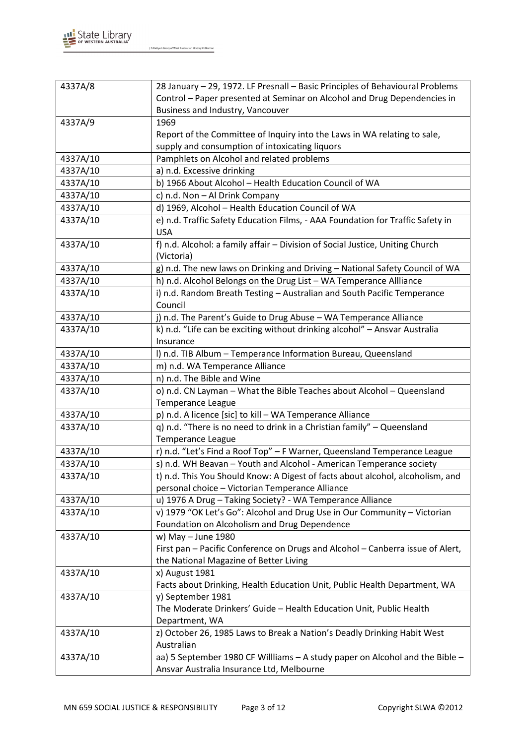

| 4337A/8                                                                                    |  |
|--------------------------------------------------------------------------------------------|--|
| 28 January - 29, 1972. LF Presnall - Basic Principles of Behavioural Problems              |  |
| Control - Paper presented at Seminar on Alcohol and Drug Dependencies in                   |  |
| Business and Industry, Vancouver                                                           |  |
| 4337A/9<br>1969                                                                            |  |
| Report of the Committee of Inquiry into the Laws in WA relating to sale,                   |  |
| supply and consumption of intoxicating liquors                                             |  |
| 4337A/10<br>Pamphlets on Alcohol and related problems                                      |  |
| 4337A/10<br>a) n.d. Excessive drinking                                                     |  |
| 4337A/10<br>b) 1966 About Alcohol - Health Education Council of WA                         |  |
| 4337A/10<br>c) n.d. Non - Al Drink Company                                                 |  |
| d) 1969, Alcohol - Health Education Council of WA<br>4337A/10                              |  |
| 4337A/10<br>e) n.d. Traffic Safety Education Films, - AAA Foundation for Traffic Safety in |  |
| <b>USA</b>                                                                                 |  |
| 4337A/10<br>f) n.d. Alcohol: a family affair - Division of Social Justice, Uniting Church  |  |
| (Victoria)                                                                                 |  |
| g) n.d. The new laws on Drinking and Driving - National Safety Council of WA<br>4337A/10   |  |
| 4337A/10<br>h) n.d. Alcohol Belongs on the Drug List - WA Temperance Allliance             |  |
| i) n.d. Random Breath Testing - Australian and South Pacific Temperance<br>4337A/10        |  |
| Council                                                                                    |  |
| 4337A/10<br>j) n.d. The Parent's Guide to Drug Abuse - WA Temperance Alliance              |  |
| 4337A/10<br>k) n.d. "Life can be exciting without drinking alcohol" - Ansvar Australia     |  |
| Insurance                                                                                  |  |
| I) n.d. TIB Album - Temperance Information Bureau, Queensland<br>4337A/10                  |  |
| 4337A/10<br>m) n.d. WA Temperance Alliance                                                 |  |
| n) n.d. The Bible and Wine<br>4337A/10                                                     |  |
| o) n.d. CN Layman - What the Bible Teaches about Alcohol - Queensland<br>4337A/10          |  |
| <b>Temperance League</b>                                                                   |  |
| p) n.d. A licence [sic] to kill - WA Temperance Alliance<br>4337A/10                       |  |
| q) n.d. "There is no need to drink in a Christian family" - Queensland<br>4337A/10         |  |
| <b>Temperance League</b>                                                                   |  |
| r) n.d. "Let's Find a Roof Top" - F Warner, Queensland Temperance League<br>4337A/10       |  |
| 4337A/10<br>s) n.d. WH Beavan - Youth and Alcohol - American Temperance society            |  |
| t) n.d. This You Should Know: A Digest of facts about alcohol, alcoholism, and<br>4337A/10 |  |
| personal choice - Victorian Temperance Alliance                                            |  |
| u) 1976 A Drug - Taking Society? - WA Temperance Alliance<br>4337A/10                      |  |
| v) 1979 "OK Let's Go": Alcohol and Drug Use in Our Community - Victorian<br>4337A/10       |  |
| Foundation on Alcoholism and Drug Dependence                                               |  |
| w) May - June 1980<br>4337A/10                                                             |  |
| First pan - Pacific Conference on Drugs and Alcohol - Canberra issue of Alert,             |  |
| the National Magazine of Better Living                                                     |  |
| 4337A/10<br>x) August 1981                                                                 |  |
| Facts about Drinking, Health Education Unit, Public Health Department, WA                  |  |
| 4337A/10<br>y) September 1981                                                              |  |
| The Moderate Drinkers' Guide - Health Education Unit, Public Health                        |  |
| Department, WA                                                                             |  |
| z) October 26, 1985 Laws to Break a Nation's Deadly Drinking Habit West<br>4337A/10        |  |
| Australian                                                                                 |  |
| 4337A/10<br>aa) 5 September 1980 CF Willliams - A study paper on Alcohol and the Bible -   |  |
| Ansvar Australia Insurance Ltd, Melbourne                                                  |  |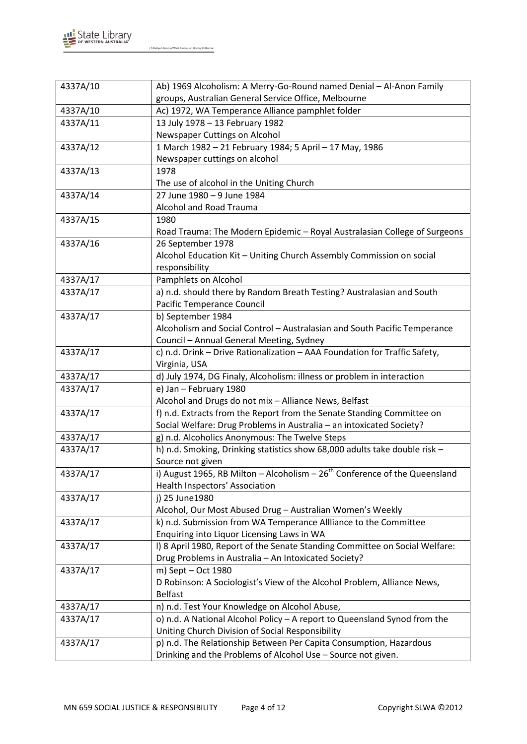

| 4337A/10 | Ab) 1969 Alcoholism: A Merry-Go-Round named Denial - Al-Anon Family                       |
|----------|-------------------------------------------------------------------------------------------|
|          | groups, Australian General Service Office, Melbourne                                      |
| 4337A/10 | Ac) 1972, WA Temperance Alliance pamphlet folder                                          |
| 4337A/11 | 13 July 1978 - 13 February 1982                                                           |
|          | Newspaper Cuttings on Alcohol                                                             |
| 4337A/12 | 1 March 1982 - 21 February 1984; 5 April - 17 May, 1986                                   |
|          | Newspaper cuttings on alcohol                                                             |
| 4337A/13 | 1978                                                                                      |
|          | The use of alcohol in the Uniting Church                                                  |
| 4337A/14 | 27 June 1980 - 9 June 1984                                                                |
|          | Alcohol and Road Trauma                                                                   |
| 4337A/15 | 1980                                                                                      |
|          | Road Trauma: The Modern Epidemic - Royal Australasian College of Surgeons                 |
| 4337A/16 | 26 September 1978                                                                         |
|          | Alcohol Education Kit - Uniting Church Assembly Commission on social                      |
|          | responsibility                                                                            |
| 4337A/17 | Pamphlets on Alcohol                                                                      |
| 4337A/17 | a) n.d. should there by Random Breath Testing? Australasian and South                     |
|          | Pacific Temperance Council                                                                |
| 4337A/17 | b) September 1984                                                                         |
|          | Alcoholism and Social Control - Australasian and South Pacific Temperance                 |
|          | Council - Annual General Meeting, Sydney                                                  |
| 4337A/17 | c) n.d. Drink - Drive Rationalization - AAA Foundation for Traffic Safety,                |
|          | Virginia, USA                                                                             |
| 4337A/17 | d) July 1974, DG Finaly, Alcoholism: illness or problem in interaction                    |
| 4337A/17 | e) Jan - February 1980                                                                    |
|          | Alcohol and Drugs do not mix - Alliance News, Belfast                                     |
| 4337A/17 | f) n.d. Extracts from the Report from the Senate Standing Committee on                    |
|          | Social Welfare: Drug Problems in Australia - an intoxicated Society?                      |
| 4337A/17 | g) n.d. Alcoholics Anonymous: The Twelve Steps                                            |
| 4337A/17 | h) n.d. Smoking, Drinking statistics show 68,000 adults take double risk -                |
|          | Source not given                                                                          |
| 4337A/17 | i) August 1965, RB Milton - Alcoholism $-26th$ Conference of the Queensland               |
|          | Health Inspectors' Association                                                            |
| 4337A/17 | j) 25 June 1980                                                                           |
|          | Alcohol, Our Most Abused Drug - Australian Women's Weekly                                 |
| 4337A/17 | k) n.d. Submission from WA Temperance Allliance to the Committee                          |
|          | Enquiring into Liquor Licensing Laws in WA                                                |
| 4337A/17 | I) 8 April 1980, Report of the Senate Standing Committee on Social Welfare:               |
|          | Drug Problems in Australia - An Intoxicated Society?                                      |
| 4337A/17 | m) Sept - Oct 1980                                                                        |
|          | D Robinson: A Sociologist's View of the Alcohol Problem, Alliance News,<br><b>Belfast</b> |
| 4337A/17 | n) n.d. Test Your Knowledge on Alcohol Abuse,                                             |
| 4337A/17 | o) n.d. A National Alcohol Policy - A report to Queensland Synod from the                 |
|          | Uniting Church Division of Social Responsibility                                          |
| 4337A/17 | p) n.d. The Relationship Between Per Capita Consumption, Hazardous                        |
|          |                                                                                           |
|          | Drinking and the Problems of Alcohol Use - Source not given.                              |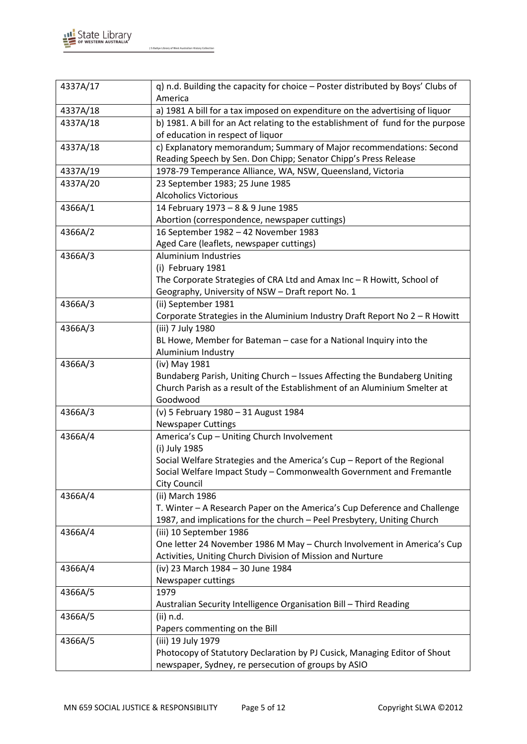

| 4337A/17 | q) n.d. Building the capacity for choice - Poster distributed by Boys' Clubs of<br>America |
|----------|--------------------------------------------------------------------------------------------|
| 4337A/18 | a) 1981 A bill for a tax imposed on expenditure on the advertising of liquor               |
| 4337A/18 | b) 1981. A bill for an Act relating to the establishment of fund for the purpose           |
|          | of education in respect of liquor                                                          |
| 4337A/18 | c) Explanatory memorandum; Summary of Major recommendations: Second                        |
|          | Reading Speech by Sen. Don Chipp; Senator Chipp's Press Release                            |
| 4337A/19 | 1978-79 Temperance Alliance, WA, NSW, Queensland, Victoria                                 |
| 4337A/20 | 23 September 1983; 25 June 1985                                                            |
|          | <b>Alcoholics Victorious</b>                                                               |
| 4366A/1  | 14 February 1973 - 8 & 9 June 1985                                                         |
|          | Abortion (correspondence, newspaper cuttings)                                              |
| 4366A/2  | 16 September 1982 - 42 November 1983                                                       |
|          | Aged Care (leaflets, newspaper cuttings)                                                   |
| 4366A/3  | Aluminium Industries                                                                       |
|          | (i) February 1981                                                                          |
|          | The Corporate Strategies of CRA Ltd and Amax Inc - R Howitt, School of                     |
|          | Geography, University of NSW - Draft report No. 1                                          |
| 4366A/3  | (ii) September 1981                                                                        |
|          | Corporate Strategies in the Aluminium Industry Draft Report No 2 - R Howitt                |
| 4366A/3  | (iii) 7 July 1980                                                                          |
|          | BL Howe, Member for Bateman - case for a National Inquiry into the                         |
|          | Aluminium Industry                                                                         |
| 4366A/3  | (iv) May 1981                                                                              |
|          | Bundaberg Parish, Uniting Church - Issues Affecting the Bundaberg Uniting                  |
|          | Church Parish as a result of the Establishment of an Aluminium Smelter at                  |
|          | Goodwood                                                                                   |
| 4366A/3  | (v) 5 February 1980 - 31 August 1984                                                       |
|          | <b>Newspaper Cuttings</b>                                                                  |
| 4366A/4  | America's Cup - Uniting Church Involvement                                                 |
|          | (i) July 1985                                                                              |
|          | Social Welfare Strategies and the America's Cup - Report of the Regional                   |
|          | Social Welfare Impact Study - Commonwealth Government and Fremantle                        |
|          | <b>City Council</b>                                                                        |
| 4366A/4  | (ii) March 1986                                                                            |
|          | T. Winter - A Research Paper on the America's Cup Deference and Challenge                  |
|          | 1987, and implications for the church - Peel Presbytery, Uniting Church                    |
| 4366A/4  | (iii) 10 September 1986                                                                    |
|          | One letter 24 November 1986 M May - Church Involvement in America's Cup                    |
|          | Activities, Uniting Church Division of Mission and Nurture                                 |
| 4366A/4  | (iv) 23 March 1984 - 30 June 1984                                                          |
|          | Newspaper cuttings                                                                         |
| 4366A/5  | 1979                                                                                       |
|          | Australian Security Intelligence Organisation Bill - Third Reading                         |
| 4366A/5  | (ii) n.d.                                                                                  |
|          | Papers commenting on the Bill                                                              |
| 4366A/5  | (iii) 19 July 1979                                                                         |
|          | Photocopy of Statutory Declaration by PJ Cusick, Managing Editor of Shout                  |
|          | newspaper, Sydney, re persecution of groups by ASIO                                        |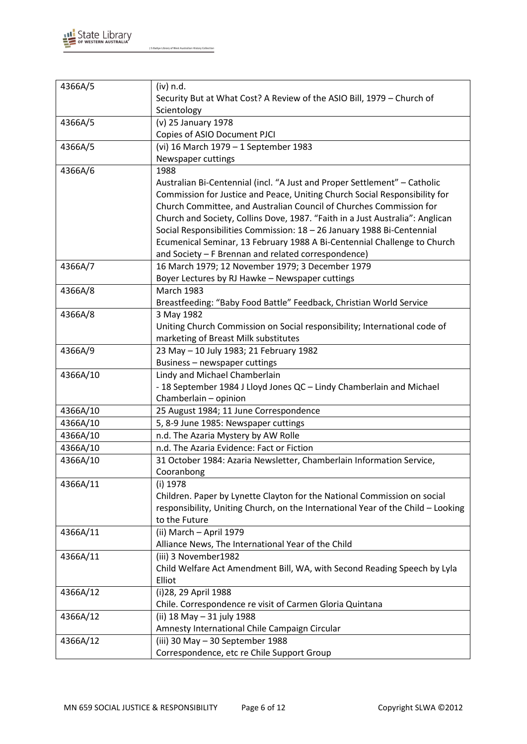

| 4366A/5  | (iv) n.d.                                                                        |
|----------|----------------------------------------------------------------------------------|
|          | Security But at What Cost? A Review of the ASIO Bill, 1979 - Church of           |
|          | Scientology                                                                      |
| 4366A/5  | (v) 25 January 1978                                                              |
|          | Copies of ASIO Document PJCI                                                     |
| 4366A/5  | (vi) 16 March 1979 - 1 September 1983                                            |
|          | Newspaper cuttings                                                               |
| 4366A/6  | 1988                                                                             |
|          | Australian Bi-Centennial (incl. "A Just and Proper Settlement" - Catholic        |
|          | Commission for Justice and Peace, Uniting Church Social Responsibility for       |
|          | Church Committee, and Australian Council of Churches Commission for              |
|          | Church and Society, Collins Dove, 1987. "Faith in a Just Australia": Anglican    |
|          | Social Responsibilities Commission: 18 - 26 January 1988 Bi-Centennial           |
|          | Ecumenical Seminar, 13 February 1988 A Bi-Centennial Challenge to Church         |
|          | and Society - F Brennan and related correspondence)                              |
| 4366A/7  | 16 March 1979; 12 November 1979; 3 December 1979                                 |
|          | Boyer Lectures by RJ Hawke - Newspaper cuttings                                  |
| 4366A/8  | <b>March 1983</b>                                                                |
|          | Breastfeeding: "Baby Food Battle" Feedback, Christian World Service              |
| 4366A/8  | 3 May 1982                                                                       |
|          | Uniting Church Commission on Social responsibility; International code of        |
|          | marketing of Breast Milk substitutes                                             |
| 4366A/9  | 23 May - 10 July 1983; 21 February 1982                                          |
|          | Business - newspaper cuttings                                                    |
| 4366A/10 | Lindy and Michael Chamberlain                                                    |
|          | - 18 September 1984 J Lloyd Jones QC - Lindy Chamberlain and Michael             |
|          | Chamberlain - opinion                                                            |
| 4366A/10 | 25 August 1984; 11 June Correspondence                                           |
| 4366A/10 | 5, 8-9 June 1985: Newspaper cuttings                                             |
| 4366A/10 | n.d. The Azaria Mystery by AW Rolle                                              |
| 4366A/10 | n.d. The Azaria Evidence: Fact or Fiction                                        |
| 4366A/10 | 31 October 1984: Azaria Newsletter, Chamberlain Information Service,             |
|          | Cooranbong                                                                       |
| 4366A/11 | (i) 1978                                                                         |
|          | Children. Paper by Lynette Clayton for the National Commission on social         |
|          | responsibility, Uniting Church, on the International Year of the Child - Looking |
|          | to the Future                                                                    |
| 4366A/11 | (ii) March - April 1979                                                          |
|          | Alliance News, The International Year of the Child                               |
| 4366A/11 | (iii) 3 November1982                                                             |
|          | Child Welfare Act Amendment Bill, WA, with Second Reading Speech by Lyla         |
|          | Elliot                                                                           |
| 4366A/12 | (i) 28, 29 April 1988                                                            |
|          | Chile. Correspondence re visit of Carmen Gloria Quintana                         |
| 4366A/12 | (ii) 18 May - 31 july 1988                                                       |
|          | Amnesty International Chile Campaign Circular                                    |
| 4366A/12 | (iii) 30 May - 30 September 1988                                                 |
|          | Correspondence, etc re Chile Support Group                                       |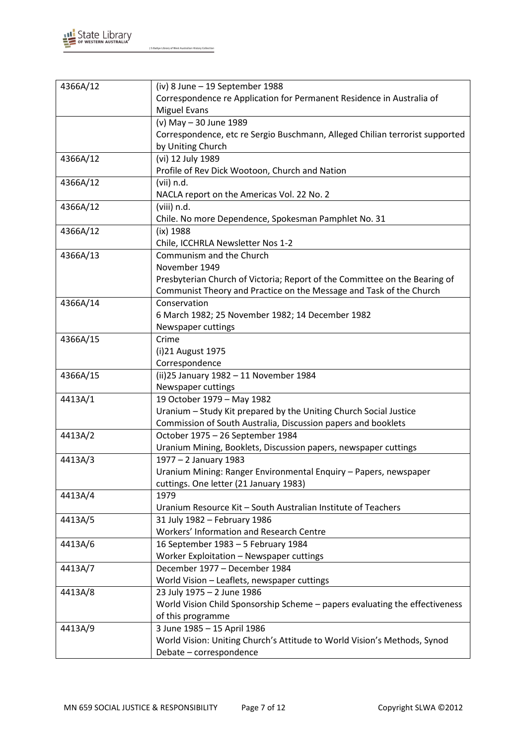

| 4366A/12 | (iv) 8 June - 19 September 1988                                              |
|----------|------------------------------------------------------------------------------|
|          | Correspondence re Application for Permanent Residence in Australia of        |
|          | <b>Miguel Evans</b>                                                          |
|          | (v) May - 30 June 1989                                                       |
|          | Correspondence, etc re Sergio Buschmann, Alleged Chilian terrorist supported |
|          | by Uniting Church                                                            |
| 4366A/12 | (vi) 12 July 1989                                                            |
|          | Profile of Rev Dick Wootoon, Church and Nation                               |
| 4366A/12 | (vii) n.d.                                                                   |
|          | NACLA report on the Americas Vol. 22 No. 2                                   |
| 4366A/12 | (viii) n.d.                                                                  |
|          | Chile. No more Dependence, Spokesman Pamphlet No. 31                         |
| 4366A/12 | $(ix)$ 1988                                                                  |
|          | Chile, ICCHRLA Newsletter Nos 1-2                                            |
| 4366A/13 | Communism and the Church                                                     |
|          | November 1949                                                                |
|          | Presbyterian Church of Victoria; Report of the Committee on the Bearing of   |
|          | Communist Theory and Practice on the Message and Task of the Church          |
| 4366A/14 | Conservation                                                                 |
|          | 6 March 1982; 25 November 1982; 14 December 1982                             |
|          | Newspaper cuttings                                                           |
| 4366A/15 | Crime                                                                        |
|          | (i)21 August 1975                                                            |
|          | Correspondence                                                               |
| 4366A/15 | (ii)25 January 1982 - 11 November 1984                                       |
|          | Newspaper cuttings                                                           |
| 4413A/1  | 19 October 1979 - May 1982                                                   |
|          | Uranium - Study Kit prepared by the Uniting Church Social Justice            |
|          | Commission of South Australia, Discussion papers and booklets                |
| 4413A/2  | October 1975 - 26 September 1984                                             |
|          | Uranium Mining, Booklets, Discussion papers, newspaper cuttings              |
| 4413A/3  | 1977 - 2 January 1983                                                        |
|          | Uranium Mining: Ranger Environmental Enquiry - Papers, newspaper             |
|          | cuttings. One letter (21 January 1983)                                       |
| 4413A/4  | 1979                                                                         |
|          | Uranium Resource Kit - South Australian Institute of Teachers                |
| 4413A/5  | 31 July 1982 - February 1986                                                 |
|          | Workers' Information and Research Centre                                     |
| 4413A/6  | 16 September 1983 - 5 February 1984                                          |
|          | Worker Exploitation - Newspaper cuttings                                     |
| 4413A/7  | December 1977 - December 1984                                                |
|          | World Vision - Leaflets, newspaper cuttings                                  |
| 4413A/8  | 23 July 1975 - 2 June 1986                                                   |
|          | World Vision Child Sponsorship Scheme - papers evaluating the effectiveness  |
|          | of this programme                                                            |
| 4413A/9  | 3 June 1985 - 15 April 1986                                                  |
|          | World Vision: Uniting Church's Attitude to World Vision's Methods, Synod     |
|          | Debate - correspondence                                                      |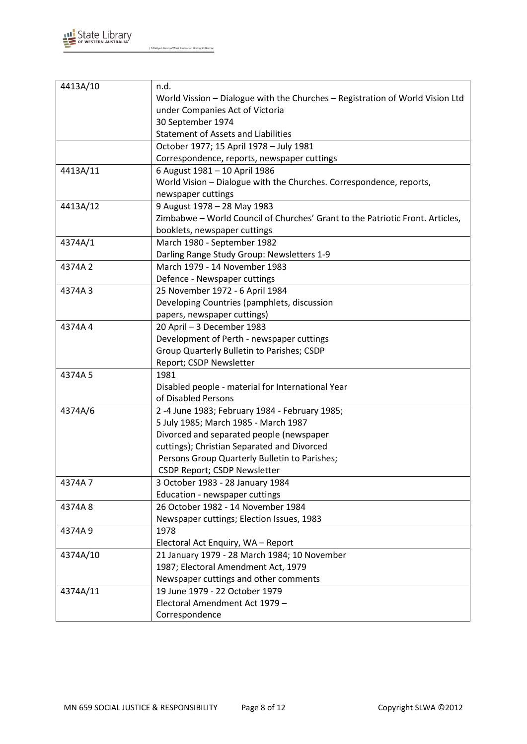

| 4413A/10 | n.d.                                                                          |
|----------|-------------------------------------------------------------------------------|
|          | World Vission - Dialogue with the Churches - Registration of World Vision Ltd |
|          | under Companies Act of Victoria                                               |
|          | 30 September 1974                                                             |
|          | <b>Statement of Assets and Liabilities</b>                                    |
|          | October 1977; 15 April 1978 - July 1981                                       |
|          | Correspondence, reports, newspaper cuttings                                   |
| 4413A/11 | 6 August 1981 - 10 April 1986                                                 |
|          | World Vision - Dialogue with the Churches. Correspondence, reports,           |
|          | newspaper cuttings                                                            |
| 4413A/12 | 9 August 1978 - 28 May 1983                                                   |
|          | Zimbabwe - World Council of Churches' Grant to the Patriotic Front. Articles, |
|          | booklets, newspaper cuttings                                                  |
| 4374A/1  | March 1980 - September 1982                                                   |
|          | Darling Range Study Group: Newsletters 1-9                                    |
| 4374A 2  | March 1979 - 14 November 1983                                                 |
|          | Defence - Newspaper cuttings                                                  |
| 4374A3   | 25 November 1972 - 6 April 1984                                               |
|          | Developing Countries (pamphlets, discussion                                   |
|          | papers, newspaper cuttings)                                                   |
| 4374A4   | 20 April - 3 December 1983                                                    |
|          | Development of Perth - newspaper cuttings                                     |
|          | Group Quarterly Bulletin to Parishes; CSDP                                    |
|          | Report; CSDP Newsletter                                                       |
| 4374A 5  | 1981                                                                          |
|          | Disabled people - material for International Year                             |
|          | of Disabled Persons                                                           |
| 4374A/6  | 2 -4 June 1983; February 1984 - February 1985;                                |
|          | 5 July 1985; March 1985 - March 1987                                          |
|          | Divorced and separated people (newspaper                                      |
|          | cuttings); Christian Separated and Divorced                                   |
|          | Persons Group Quarterly Bulletin to Parishes;                                 |
|          | CSDP Report; CSDP Newsletter                                                  |
| 4374A7   | 3 October 1983 - 28 January 1984                                              |
|          | Education - newspaper cuttings                                                |
| 4374A8   | 26 October 1982 - 14 November 1984                                            |
|          | Newspaper cuttings; Election Issues, 1983                                     |
| 4374A9   | 1978                                                                          |
|          | Electoral Act Enquiry, WA - Report                                            |
| 4374A/10 | 21 January 1979 - 28 March 1984; 10 November                                  |
|          | 1987; Electoral Amendment Act, 1979                                           |
|          | Newspaper cuttings and other comments                                         |
| 4374A/11 | 19 June 1979 - 22 October 1979                                                |
|          | Electoral Amendment Act 1979 -                                                |
|          | Correspondence                                                                |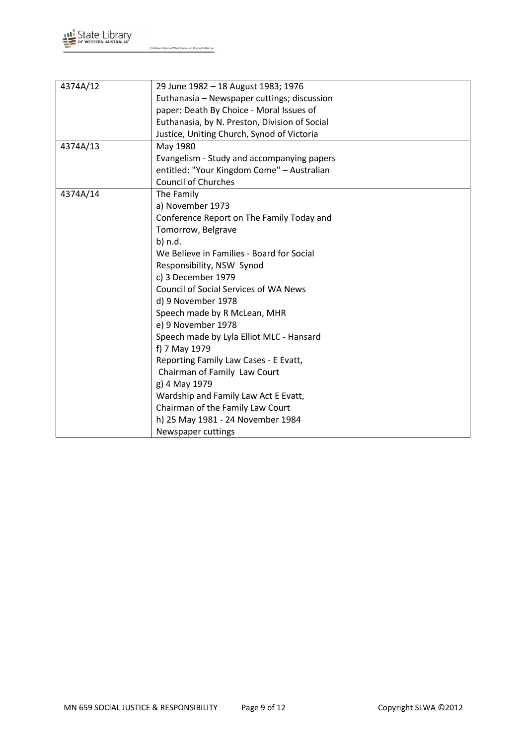

| 4374A/12 | 29 June 1982 - 18 August 1983; 1976           |
|----------|-----------------------------------------------|
|          | Euthanasia - Newspaper cuttings; discussion   |
|          | paper: Death By Choice - Moral Issues of      |
|          | Euthanasia, by N. Preston, Division of Social |
|          | Justice, Uniting Church, Synod of Victoria    |
| 4374A/13 | May 1980                                      |
|          | Evangelism - Study and accompanying papers    |
|          | entitled: "Your Kingdom Come" - Australian    |
|          | <b>Council of Churches</b>                    |
| 4374A/14 | The Family                                    |
|          | a) November 1973                              |
|          | Conference Report on The Family Today and     |
|          | Tomorrow, Belgrave                            |
|          | b) n.d.                                       |
|          | We Believe in Families - Board for Social     |
|          | Responsibility, NSW Synod                     |
|          | c) 3 December 1979                            |
|          | <b>Council of Social Services of WA News</b>  |
|          | d) 9 November 1978                            |
|          | Speech made by R McLean, MHR                  |
|          | e) 9 November 1978                            |
|          | Speech made by Lyla Elliot MLC - Hansard      |
|          | f) 7 May 1979                                 |
|          | Reporting Family Law Cases - E Evatt,         |
|          | Chairman of Family Law Court                  |
|          | g) 4 May 1979                                 |
|          | Wardship and Family Law Act E Evatt,          |
|          | Chairman of the Family Law Court              |
|          | h) 25 May 1981 - 24 November 1984             |
|          | Newspaper cuttings                            |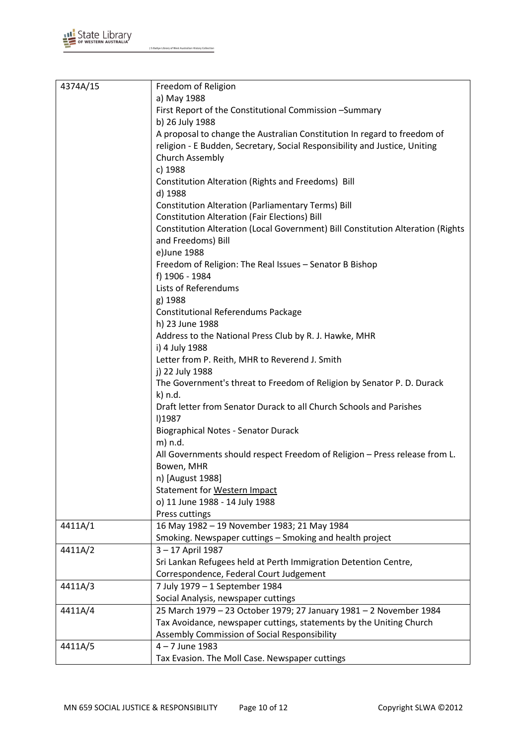

| 4374A/15 | Freedom of Religion                                                                                                                                    |
|----------|--------------------------------------------------------------------------------------------------------------------------------------------------------|
|          | a) May 1988                                                                                                                                            |
|          | First Report of the Constitutional Commission -Summary                                                                                                 |
|          | b) 26 July 1988                                                                                                                                        |
|          | A proposal to change the Australian Constitution In regard to freedom of<br>religion - E Budden, Secretary, Social Responsibility and Justice, Uniting |
|          | Church Assembly                                                                                                                                        |
|          | c) 1988                                                                                                                                                |
|          | Constitution Alteration (Rights and Freedoms) Bill                                                                                                     |
|          | d) 1988                                                                                                                                                |
|          | <b>Constitution Alteration (Parliamentary Terms) Bill</b>                                                                                              |
|          | <b>Constitution Alteration (Fair Elections) Bill</b>                                                                                                   |
|          | Constitution Alteration (Local Government) Bill Constitution Alteration (Rights                                                                        |
|          | and Freedoms) Bill                                                                                                                                     |
|          | e)June 1988                                                                                                                                            |
|          | Freedom of Religion: The Real Issues - Senator B Bishop                                                                                                |
|          | f) 1906 - 1984<br>Lists of Referendums                                                                                                                 |
|          | g) 1988                                                                                                                                                |
|          | <b>Constitutional Referendums Package</b>                                                                                                              |
|          | h) 23 June 1988                                                                                                                                        |
|          | Address to the National Press Club by R. J. Hawke, MHR                                                                                                 |
|          | i) 4 July 1988                                                                                                                                         |
|          | Letter from P. Reith, MHR to Reverend J. Smith                                                                                                         |
|          | j) 22 July 1988                                                                                                                                        |
|          | The Government's threat to Freedom of Religion by Senator P. D. Durack                                                                                 |
|          | k) n.d.                                                                                                                                                |
|          | Draft letter from Senator Durack to all Church Schools and Parishes<br>I)1987                                                                          |
|          | <b>Biographical Notes - Senator Durack</b>                                                                                                             |
|          | m) n.d.                                                                                                                                                |
|          | All Governments should respect Freedom of Religion - Press release from L.                                                                             |
|          | Bowen, MHR                                                                                                                                             |
|          | n) [August 1988]                                                                                                                                       |
|          | Statement for Western Impact                                                                                                                           |
|          | o) 11 June 1988 - 14 July 1988                                                                                                                         |
|          | Press cuttings                                                                                                                                         |
| 4411A/1  | 16 May 1982 - 19 November 1983; 21 May 1984                                                                                                            |
|          | Smoking. Newspaper cuttings - Smoking and health project<br>3-17 April 1987                                                                            |
| 4411A/2  | Sri Lankan Refugees held at Perth Immigration Detention Centre,                                                                                        |
|          | Correspondence, Federal Court Judgement                                                                                                                |
| 4411A/3  | 7 July 1979 - 1 September 1984                                                                                                                         |
|          | Social Analysis, newspaper cuttings                                                                                                                    |
| 4411A/4  | 25 March 1979 - 23 October 1979; 27 January 1981 - 2 November 1984                                                                                     |
|          | Tax Avoidance, newspaper cuttings, statements by the Uniting Church                                                                                    |
|          | Assembly Commission of Social Responsibility                                                                                                           |
| 4411A/5  | $4 - 7$ June 1983                                                                                                                                      |
|          | Tax Evasion. The Moll Case. Newspaper cuttings                                                                                                         |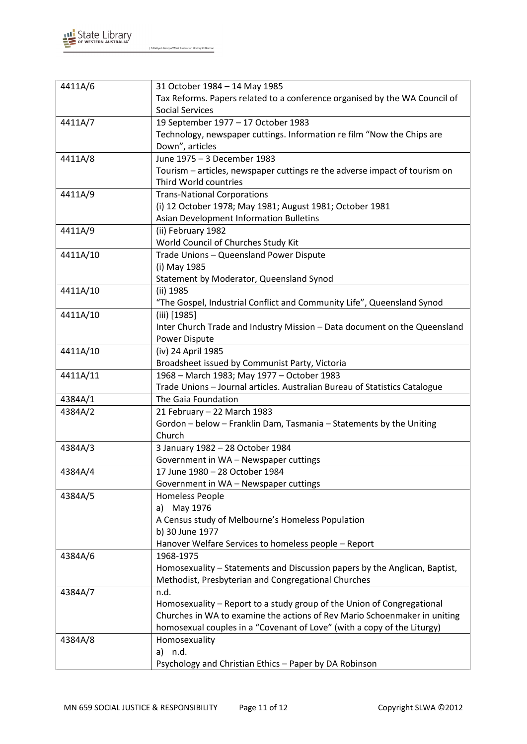

| 4411A/6  | 31 October 1984 - 14 May 1985                                              |
|----------|----------------------------------------------------------------------------|
|          | Tax Reforms. Papers related to a conference organised by the WA Council of |
|          | <b>Social Services</b>                                                     |
| 4411A/7  | 19 September 1977 - 17 October 1983                                        |
|          | Technology, newspaper cuttings. Information re film "Now the Chips are     |
|          | Down", articles                                                            |
| 4411A/8  | June 1975 - 3 December 1983                                                |
|          | Tourism – articles, newspaper cuttings re the adverse impact of tourism on |
|          | Third World countries                                                      |
| 4411A/9  | <b>Trans-National Corporations</b>                                         |
|          | (i) 12 October 1978; May 1981; August 1981; October 1981                   |
|          | Asian Development Information Bulletins                                    |
| 4411A/9  | (ii) February 1982                                                         |
|          | World Council of Churches Study Kit                                        |
| 4411A/10 | Trade Unions - Queensland Power Dispute                                    |
|          | (i) May 1985                                                               |
|          | Statement by Moderator, Queensland Synod                                   |
| 4411A/10 | (ii) 1985                                                                  |
|          | "The Gospel, Industrial Conflict and Community Life", Queensland Synod     |
| 4411A/10 | (iii) [1985]                                                               |
|          | Inter Church Trade and Industry Mission - Data document on the Queensland  |
|          | Power Dispute                                                              |
| 4411A/10 | (iv) 24 April 1985                                                         |
|          | Broadsheet issued by Communist Party, Victoria                             |
| 4411A/11 | 1968 - March 1983; May 1977 - October 1983                                 |
|          | Trade Unions - Journal articles. Australian Bureau of Statistics Catalogue |
| 4384A/1  | The Gaia Foundation                                                        |
| 4384A/2  | 21 February - 22 March 1983                                                |
|          | Gordon - below - Franklin Dam, Tasmania - Statements by the Uniting        |
|          | Church                                                                     |
| 4384A/3  | 3 January 1982 - 28 October 1984                                           |
|          | Government in WA - Newspaper cuttings                                      |
| 4384A/4  | 17 June 1980 - 28 October 1984                                             |
|          | Government in WA - Newspaper cuttings                                      |
| 4384A/5  | <b>Homeless People</b>                                                     |
|          | a) May 1976                                                                |
|          | A Census study of Melbourne's Homeless Population                          |
|          | b) 30 June 1977                                                            |
|          | Hanover Welfare Services to homeless people - Report                       |
| 4384A/6  | 1968-1975                                                                  |
|          | Homosexuality – Statements and Discussion papers by the Anglican, Baptist, |
|          | Methodist, Presbyterian and Congregational Churches                        |
| 4384A/7  | n.d.                                                                       |
|          | Homosexuality - Report to a study group of the Union of Congregational     |
|          | Churches in WA to examine the actions of Rev Mario Schoenmaker in uniting  |
|          | homosexual couples in a "Covenant of Love" (with a copy of the Liturgy)    |
| 4384A/8  | Homosexuality                                                              |
|          | a) n.d.                                                                    |
|          | Psychology and Christian Ethics - Paper by DA Robinson                     |